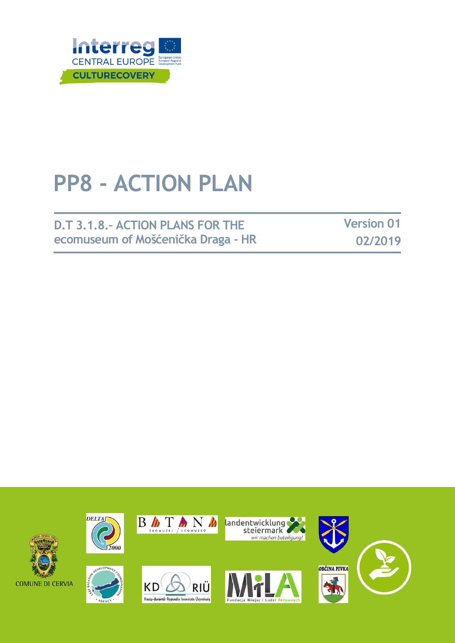

## **PP8 - ACTION PLAN**

## **D.T 3.1.8.– ACTION PLANS FOR THE ecomuseum of Mošćenička Draga - HR**

**Version 01 02/2019**

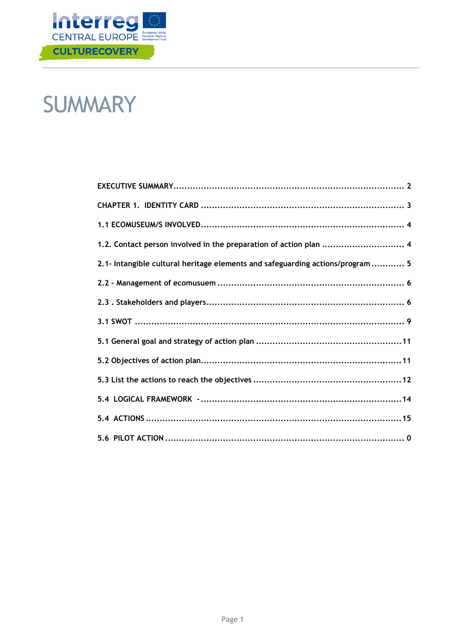

## **SUMMARY**

| 1.2. Contact person involved in the preparation of action plan  4              |
|--------------------------------------------------------------------------------|
| 2.1- Intangible cultural heritage elements and safeguarding actions/program  5 |
|                                                                                |
|                                                                                |
|                                                                                |
|                                                                                |
|                                                                                |
|                                                                                |
|                                                                                |
|                                                                                |
|                                                                                |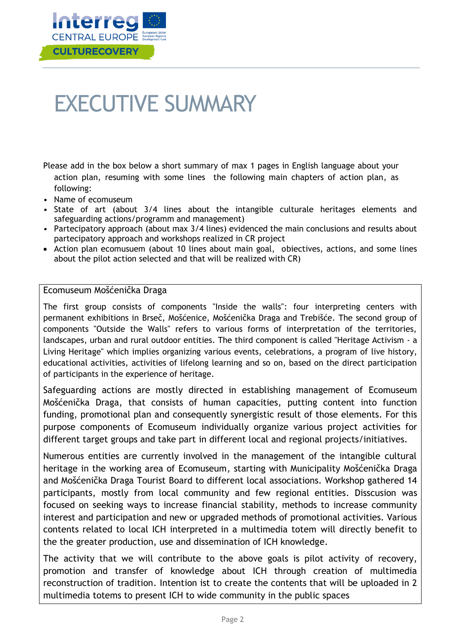

## <span id="page-2-0"></span>EXECUTIVE SUMMARY

Please add in the box below a short summary of max 1 pages in English language about your action plan, resuming with some lines the following main chapters of action plan, as following:

- Name of ecomuseum
- State of art (about 3/4 lines about the intangible culturale heritages elements and safeguarding actions/programm and management)
- Partecipatory approach (about max 3/4 lines) evidenced the main conclusions and results about partecipatory approach and workshops realized in CR project
- Action plan ecomusuem (about 10 lines about main goal, obiectives, actions, and some lines about the pilot action selected and that will be realized with CR)

#### Ecomuseum Mošćenička Draga

The first group consists of components "Inside the walls": four interpreting centers with permanent exhibitions in Brseč, Mošćenice, Mošćenička Draga and Trebišće. The second group of components "Outside the Walls" refers to various forms of interpretation of the territories, landscapes, urban and rural outdoor entities. The third component is called "Heritage Activism - a Living Heritage" which implies organizing various events, celebrations, a program of live history, educational activities, activities of lifelong learning and so on, based on the direct participation of participants in the experience of heritage.

Safeguarding actions are mostly directed in establishing management of Ecomuseum Mošćenička Draga, that consists of human capacities, putting content into function funding, promotional plan and consequently synergistic result of those elements. For this purpose components of Ecomuseum individually organize various project activities for different target groups and take part in different local and regional projects/initiatives.

Numerous entities are currently involved in the management of the intangible cultural heritage in the working area of Ecomuseum, starting with Municipality Mošćenička Draga and Mošćenička Draga Tourist Board to different local associations. Workshop gathered 14 participants, mostly from local community and few regional entities. Disscusion was focused on seeking ways to increase financial stability, methods to increase community interest and participation and new or upgraded methods of promotional activities. Various contents related to local ICH interpreted in a multimedia totem will directly benefit to the the greater production, use and dissemination of ICH knowledge.

The activity that we will contribute to the above goals is pilot activity of recovery, promotion and transfer of knowledge about ICH through creation of multimedia reconstruction of tradition. Intention ist to create the contents that will be uploaded in 2 multimedia totems to present ICH to wide community in the public spaces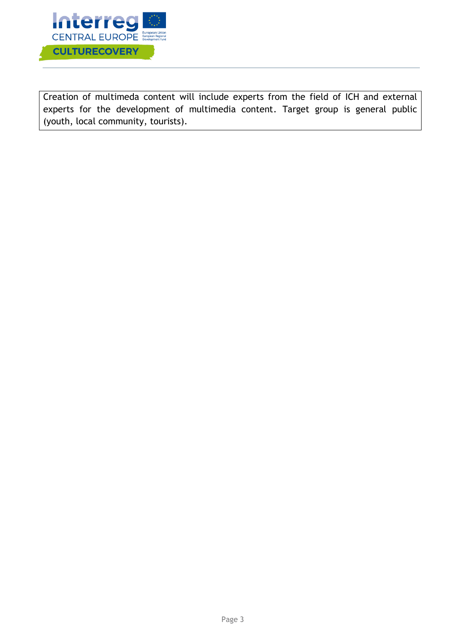

Creation of multimeda content will include experts from the field of ICH and external experts for the development of multimedia content. Target group is general public (youth, local community, tourists).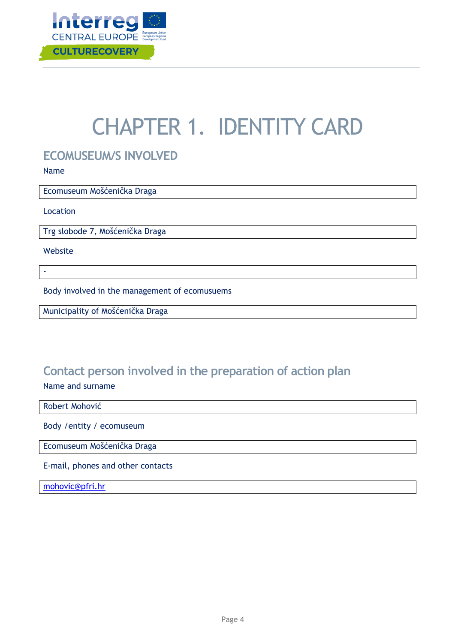

## CHAPTER 1. IDENTITY CARD

### <span id="page-4-0"></span>**ECOMUSEUM/S INVOLVED**

Name

Ecomuseum Mošćenička Draga

Location

Trg slobode 7, Mošćenička Draga

Website

-

Body involved in the management of ecomusuems

Municipality of Mošćenička Draga

## <span id="page-4-1"></span>**Contact person involved in the preparation of action plan**

Name and surname

#### Robert Mohović

Body /entity / ecomuseum

Ecomuseum Mošćenička Draga

E-mail, phones and other contacts

[mohovic@pfri.hr](mailto:mohovic@pfri.hr)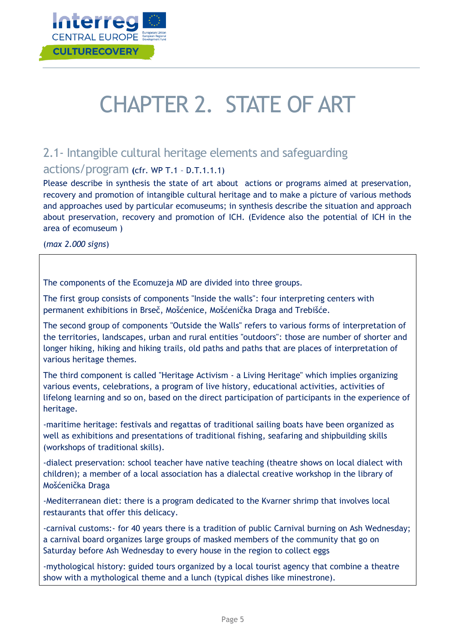

# CHAPTER 2. STATE OF ART

## <span id="page-5-0"></span>2.1- Intangible cultural heritage elements and safeguarding

#### actions/program **(**cfr. WP T.1 – D.T.1.1.1)

Please describe in synthesis the state of art about actions or programs aimed at preservation, recovery and promotion of intangible cultural heritage and to make a picture of various methods and approaches used by particular ecomuseums; in synthesis describe the situation and approach about preservation, recovery and promotion of ICH. (Evidence also the potential of ICH in the area of ecomuseum )

(*max 2.000 signs*)

The components of the Ecomuzeja MD are divided into three groups.

The first group consists of components "Inside the walls": four interpreting centers with permanent exhibitions in Brseč, Mošćenice, Mošćenička Draga and Trebišće.

The second group of components "Outside the Walls" refers to various forms of interpretation of the territories, landscapes, urban and rural entities "outdoors": those are number of shorter and longer hiking, hiking and hiking trails, old paths and paths that are places of interpretation of various heritage themes.

The third component is called "Heritage Activism - a Living Heritage" which implies organizing various events, celebrations, a program of live history, educational activities, activities of lifelong learning and so on, based on the direct participation of participants in the experience of heritage.

-maritime heritage: festivals and regattas of traditional sailing boats have been organized as well as exhibitions and presentations of traditional fishing, seafaring and shipbuilding skills (workshops of traditional skills).

-dialect preservation: school teacher have native teaching (theatre shows on local dialect with children); a member of a local association has a dialectal creative workshop in the library of Mošćenička Draga

-Mediterranean diet: there is a program dedicated to the Kvarner shrimp that involves local restaurants that offer this delicacy.

-carnival customs:- for 40 years there is a tradition of public Carnival burning on Ash Wednesday; a carnival board organizes large groups of masked members of the community that go on Saturday before Ash Wednesday to every house in the region to collect eggs

-mythological history: guided tours organized by a local tourist agency that combine a theatre show with a mythological theme and a lunch (typical dishes like minestrone).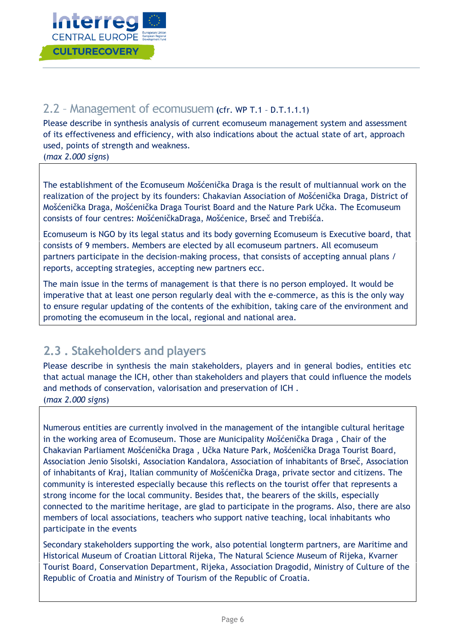

## <span id="page-6-0"></span>2.2 – Management of ecomusuem **(**cfr. WP T.1 – D.T.1.1.1)

Please describe in synthesis analysis of current ecomuseum management system and assessment of its effectiveness and efficiency, with also indications about the actual state of art, approach used, points of strength and weakness.

(*max 2.000 signs*)

The establishment of the Ecomuseum Mošćenička Draga is the result of multiannual work on the realization of the project by its founders: Chakavian Association of Mošćenička Draga, District of Mošćenička Draga, Mošćenička Draga Tourist Board and the Nature Park Učka. The Ecomuseum consists of four centres: MošćeničkaDraga, Mošćenice, Brseč and Trebišća.

Ecomuseum is NGO by its legal status and its body governing Ecomuseum is Executive board, that consists of 9 members. Members are elected by all ecomuseum partners. All ecomuseum partners participate in the decision-making process, that consists of accepting annual plans / reports, accepting strategies, accepting new partners ecc.

The main issue in the terms of management is that there is no person employed. It would be imperative that at least one person regularly deal with the e-commerce, as this is the only way to ensure regular updating of the contents of the exhibition, taking care of the environment and promoting the ecomuseum in the local, regional and national area.

## <span id="page-6-1"></span>**2.3 . Stakeholders and players**

Please describe in synthesis the main stakeholders, players and in general bodies, entities etc that actual manage the ICH, other than stakeholders and players that could influence the models and methods of conservation, valorisation and preservation of ICH . (*max 2.000 signs*)

Numerous entities are currently involved in the management of the intangible cultural heritage in the working area of Ecomuseum. Those are Municipality Mošćenička Draga , Chair of the Chakavian Parliament Mošćenička Draga , Učka Nature Park, Mošćenička Draga Tourist Board, Association Jenio Sisolski, Association Kandalora, Association of inhabitants of Brseč, Association of inhabitants of Kraj, Italian community of Mošćenička Draga, private sector and citizens. The community is interested especially because this reflects on the tourist offer that represents a strong income for the local community. Besides that, the bearers of the skills, especially connected to the maritime heritage, are glad to participate in the programs. Also, there are also members of local associations, teachers who support native teaching, local inhabitants who participate in the events

Secondary stakeholders supporting the work, also potential longterm partners, are Maritime and Historical Museum of Croatian Littoral Rijeka, The Natural Science Museum of Rijeka, Kvarner Tourist Board, Conservation Department, Rijeka, Association Dragodid, Ministry of Culture of the Republic of Croatia and Ministry of Tourism of the Republic of Croatia.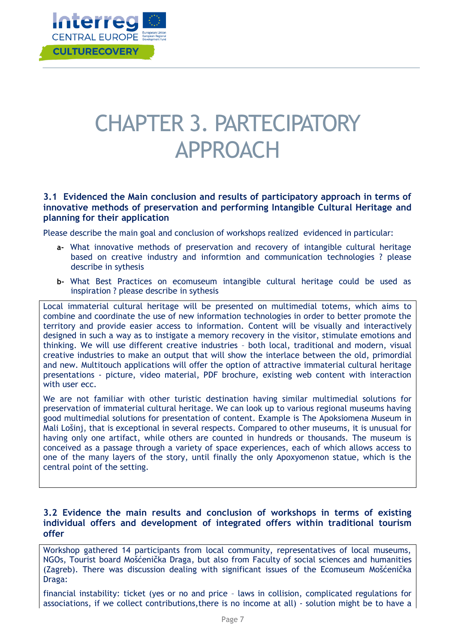

## CHAPTER 3. PARTECIPATORY APPROACH

#### **3.1 Evidenced the Main conclusion and results of participatory approach in terms of innovative methods of preservation and performing Intangible Cultural Heritage and planning for their application**

Please describe the main goal and conclusion of workshops realized evidenced in particular:

- **a-** What innovative methods of preservation and recovery of intangible cultural heritage based on creative industry and informtion and communication technologies ? please describe in sythesis
- **b-** What Best Practices on ecomuseum intangible cultural heritage could be used as inspiration ? please describe in sythesis

Local immaterial cultural heritage will be presented on multimedial totems, which aims to combine and coordinate the use of new information technologies in order to better promote the territory and provide easier access to information. Content will be visually and interactively designed in such a way as to instigate a memory recovery in the visitor, stimulate emotions and thinking. We will use different creative industries – both local, traditional and modern, visual creative industries to make an output that will show the interlace between the old, primordial and new. Multitouch applications will offer the option of attractive immaterial cultural heritage presentations - picture, video material, PDF brochure, existing web content with interaction with user ecc.

We are not familiar with other turistic destination having similar multimedial solutions for preservation of immaterial cultural heritage. We can look up to various regional museums having good multimedial solutions for presentation of content. Example is The Apoksiomena Museum in Mali Lošinj, that is exceptional in several respects. Compared to other museums, it is unusual for having only one artifact, while others are counted in hundreds or thousands. The museum is conceived as a passage through a variety of space experiences, each of which allows access to one of the many layers of the story, until finally the only Apoxyomenon statue, which is the central point of the setting.

#### **3.2 Evidence the main results and conclusion of workshops in terms of existing individual offers and development of integrated offers within traditional tourism offer**

Workshop gathered 14 participants from local community, representatives of local museums, NGOs, Tourist board Mošćenička Draga, but also from Faculty of social sciences and humanities (Zagreb). There was discussion dealing with significant issues of the Ecomuseum Mošćenička Draga:

financial instability: ticket (yes or no and price – laws in collision, complicated regulations for associations, if we collect contributions,there is no income at all) - solution might be to have a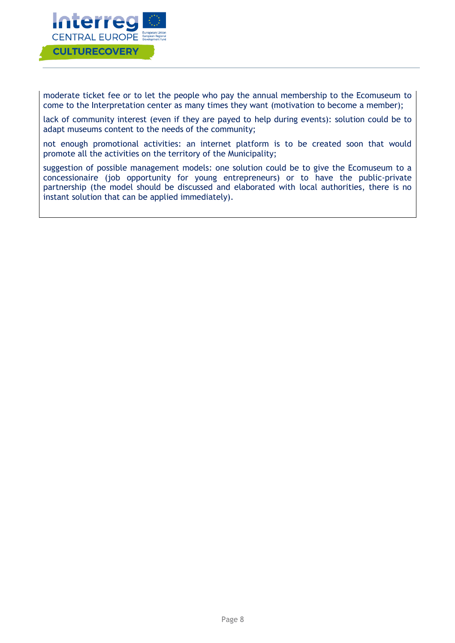

moderate ticket fee or to let the people who pay the annual membership to the Ecomuseum to come to the Interpretation center as many times they want (motivation to become a member);

lack of community interest (even if they are payed to help during events): solution could be to adapt museums content to the needs of the community;

not enough promotional activities: an internet platform is to be created soon that would promote all the activities on the territory of the Municipality;

suggestion of possible management models: one solution could be to give the Ecomuseum to a concessionaire (job opportunity for young entrepreneurs) or to have the public-private partnership (the model should be discussed and elaborated with local authorities, there is no instant solution that can be applied immediately).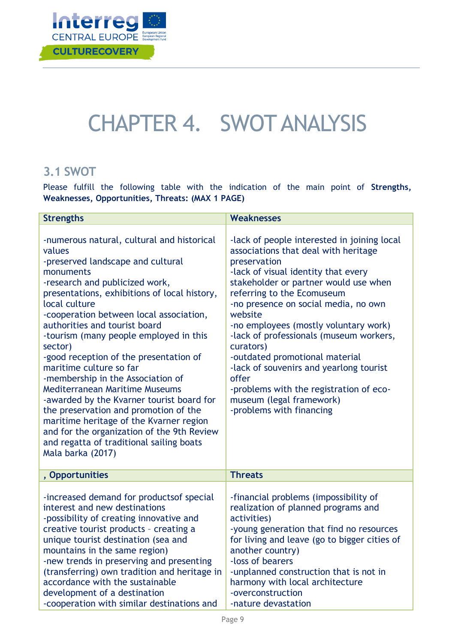

## CHAPTER 4. SWOT ANALYSIS

### <span id="page-9-0"></span>**3.1 SWOT**

Please fulfill the following table with the indication of the main point of **Strengths, Weaknesses, Opportunities, Threats: (MAX 1 PAGE)** 

| <b>Strengths</b>                                                                                                                                                                                                                                                                                                                                                                                                                                                                                                                                                                                                                                                                                                                              | <b>Weaknesses</b>                                                                                                                                                                                                                                                                                                                                                                                                                                                                                                                                              |  |
|-----------------------------------------------------------------------------------------------------------------------------------------------------------------------------------------------------------------------------------------------------------------------------------------------------------------------------------------------------------------------------------------------------------------------------------------------------------------------------------------------------------------------------------------------------------------------------------------------------------------------------------------------------------------------------------------------------------------------------------------------|----------------------------------------------------------------------------------------------------------------------------------------------------------------------------------------------------------------------------------------------------------------------------------------------------------------------------------------------------------------------------------------------------------------------------------------------------------------------------------------------------------------------------------------------------------------|--|
| -numerous natural, cultural and historical<br>values<br>-preserved landscape and cultural<br>monuments<br>-research and publicized work,<br>presentations, exhibitions of local history,<br>local culture<br>-cooperation between local association,<br>authorities and tourist board<br>-tourism (many people employed in this<br>sector)<br>-good reception of the presentation of<br>maritime culture so far<br>-membership in the Association of<br><b>Mediterranean Maritime Museums</b><br>-awarded by the Kvarner tourist board for<br>the preservation and promotion of the<br>maritime heritage of the Kvarner region<br>and for the organization of the 9th Review<br>and regatta of traditional sailing boats<br>Mala barka (2017) | -lack of people interested in joining local<br>associations that deal with heritage<br>preservation<br>-lack of visual identity that every<br>stakeholder or partner would use when<br>referring to the Ecomuseum<br>-no presence on social media, no own<br>website<br>-no employees (mostly voluntary work)<br>-lack of professionals (museum workers,<br>curators)<br>-outdated promotional material<br>-lack of souvenirs and yearlong tourist<br>offer<br>-problems with the registration of eco-<br>museum (legal framework)<br>-problems with financing |  |
| , Opportunities                                                                                                                                                                                                                                                                                                                                                                                                                                                                                                                                                                                                                                                                                                                               | <b>Threats</b>                                                                                                                                                                                                                                                                                                                                                                                                                                                                                                                                                 |  |
| -increased demand for productsof special<br>interest and new destinations<br>-possibility of creating innovative and<br>creative tourist products - creating a<br>unique tourist destination (sea and<br>mountains in the same region)<br>-new trends in preserving and presenting<br>(transferring) own tradition and heritage in<br>accordance with the sustainable<br>development of a destination<br>-cooperation with similar destinations and                                                                                                                                                                                                                                                                                           | -financial problems (impossibility of<br>realization of planned programs and<br>activities)<br>-young generation that find no resources<br>for living and leave (go to bigger cities of<br>another country)<br>-loss of bearers<br>-unplanned construction that is not in<br>harmony with local architecture<br>-overconstruction<br>-nature devastation                                                                                                                                                                                                       |  |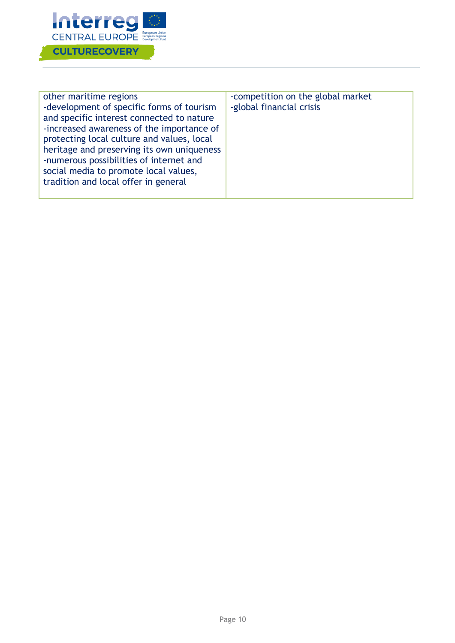

| other maritime regions<br>-development of specific forms of tourism<br>and specific interest connected to nature<br>-increased awareness of the importance of<br>protecting local culture and values, local<br>heritage and preserving its own uniqueness<br>-numerous possibilities of internet and<br>social media to promote local values,<br>tradition and local offer in general | -competition on the global market<br>-global financial crisis |
|---------------------------------------------------------------------------------------------------------------------------------------------------------------------------------------------------------------------------------------------------------------------------------------------------------------------------------------------------------------------------------------|---------------------------------------------------------------|
|---------------------------------------------------------------------------------------------------------------------------------------------------------------------------------------------------------------------------------------------------------------------------------------------------------------------------------------------------------------------------------------|---------------------------------------------------------------|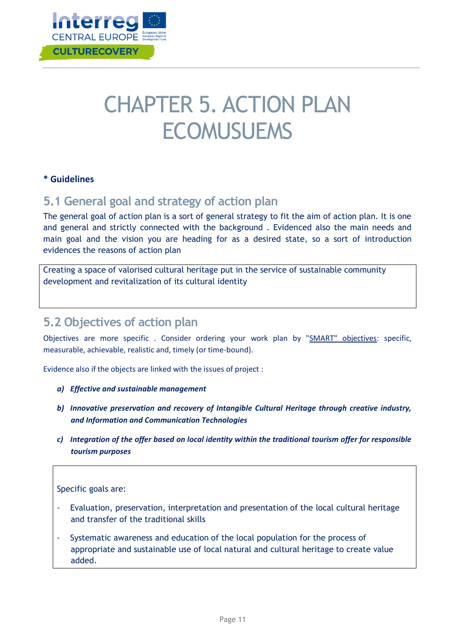

## CHAPTER 5. ACTION PLAN **ECOMUSUEMS**

#### **\* Guidelines**

### <span id="page-11-0"></span>**5.1 General goal and strategy of action plan**

The general goal of action plan is a sort of general strategy to fit the aim of action plan. It is one and general and strictly connected with the background . Evidenced also the main needs and main goal and the vision you are heading for as a desired state, so a sort of introduction evidences the reasons of action plan

Creating a space of valorised cultural heritage put in the service of sustainable community development and revitalization of its cultural identity

### <span id="page-11-1"></span>**5.2 Objectives of action plan**

Objectives are more specific . Consider ordering your work plan by "SMART" objectives: specific, measurable, achievable, realistic and, timely (or time-bound).

Evidence also if the objects are linked with the issues of project :

- *a) Effective and sustainable management*
- *b) Innovative preservation and recovery of Intangible Cultural Heritage through creative industry, and Information and Communication Technologies*
- *c) Integration of the offer based on local identity within the traditional tourism offer for responsible tourism purposes*

Specific goals are:

- Evaluation, preservation, interpretation and presentation of the local cultural heritage and transfer of the traditional skills
- Systematic awareness and education of the local population for the process of appropriate and sustainable use of local natural and cultural heritage to create value added.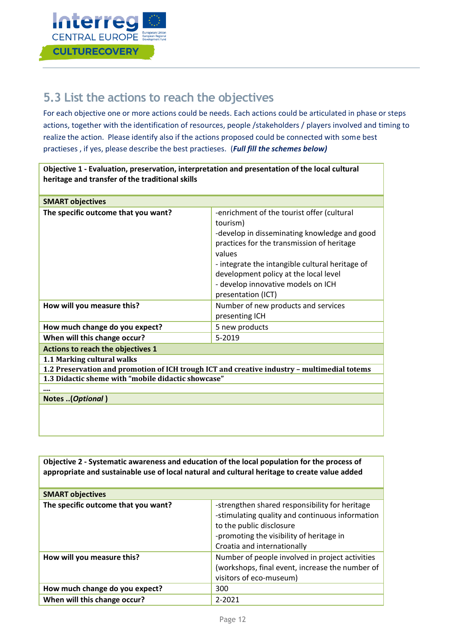

## <span id="page-12-0"></span>**5.3 List the actions to reach the objectives**

For each objective one or more actions could be needs. Each actions could be articulated in phase or steps actions, together with the identification of resources, people /stakeholders / players involved and timing to realize the action. Please identify also if the actions proposed could be connected with some best practieses , if yes, please describe the best practieses. (*Full fill the schemes below)*

| Objective 1 - Evaluation, preservation, interpretation and presentation of the local cultural<br>heritage and transfer of the traditional skills |                                                                                                                                                                                                                                                                                                                        |  |  |  |
|--------------------------------------------------------------------------------------------------------------------------------------------------|------------------------------------------------------------------------------------------------------------------------------------------------------------------------------------------------------------------------------------------------------------------------------------------------------------------------|--|--|--|
|                                                                                                                                                  |                                                                                                                                                                                                                                                                                                                        |  |  |  |
| <b>SMART objectives</b>                                                                                                                          |                                                                                                                                                                                                                                                                                                                        |  |  |  |
| The specific outcome that you want?                                                                                                              | -enrichment of the tourist offer (cultural<br>tourism)<br>-develop in disseminating knowledge and good<br>practices for the transmission of heritage<br>values<br>- integrate the intangible cultural heritage of<br>development policy at the local level<br>- develop innovative models on ICH<br>presentation (ICT) |  |  |  |
| How will you measure this?                                                                                                                       | Number of new products and services<br>presenting ICH                                                                                                                                                                                                                                                                  |  |  |  |
| How much change do you expect?                                                                                                                   | 5 new products                                                                                                                                                                                                                                                                                                         |  |  |  |
| When will this change occur?                                                                                                                     | 5-2019                                                                                                                                                                                                                                                                                                                 |  |  |  |
| Actions to reach the objectives 1                                                                                                                |                                                                                                                                                                                                                                                                                                                        |  |  |  |
| 1.1 Marking cultural walks                                                                                                                       |                                                                                                                                                                                                                                                                                                                        |  |  |  |
| 1.2 Preservation and promotion of ICH trough ICT and creative industry - multimedial totems                                                      |                                                                                                                                                                                                                                                                                                                        |  |  |  |
| 1.3 Didactic sheme with "mobile didactic showcase"                                                                                               |                                                                                                                                                                                                                                                                                                                        |  |  |  |
|                                                                                                                                                  |                                                                                                                                                                                                                                                                                                                        |  |  |  |
| Notes (Optional)                                                                                                                                 |                                                                                                                                                                                                                                                                                                                        |  |  |  |
|                                                                                                                                                  |                                                                                                                                                                                                                                                                                                                        |  |  |  |

| Objective 2 - Systematic awareness and education of the local population for the process of<br>appropriate and sustainable use of local natural and cultural heritage to create value added |                                                                                                                                                                                                          |  |  |
|---------------------------------------------------------------------------------------------------------------------------------------------------------------------------------------------|----------------------------------------------------------------------------------------------------------------------------------------------------------------------------------------------------------|--|--|
| <b>SMART objectives</b>                                                                                                                                                                     |                                                                                                                                                                                                          |  |  |
| The specific outcome that you want?                                                                                                                                                         | -strengthen shared responsibility for heritage<br>-stimulating quality and continuous information<br>to the public disclosure<br>-promoting the visibility of heritage in<br>Croatia and internationally |  |  |
| How will you measure this?                                                                                                                                                                  | Number of people involved in project activities<br>(workshops, final event, increase the number of<br>visitors of eco-museum)                                                                            |  |  |
| How much change do you expect?                                                                                                                                                              | 300                                                                                                                                                                                                      |  |  |
| When will this change occur?                                                                                                                                                                | $2 - 2021$                                                                                                                                                                                               |  |  |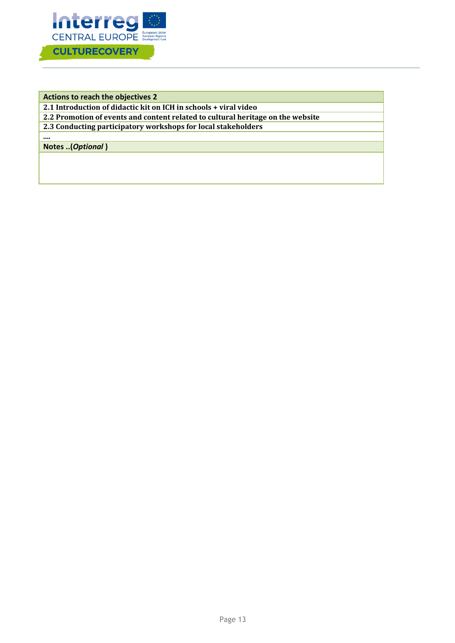

**Actions to reach the objectives 2**

**2.1 Introduction of didactic kit on ICH in schools + viral video**

**2.2 Promotion of events and content related to cultural heritage on the website**

**2.3 Conducting participatory workshops for local stakeholders**

**....** 

**Notes ..(***Optional* **)**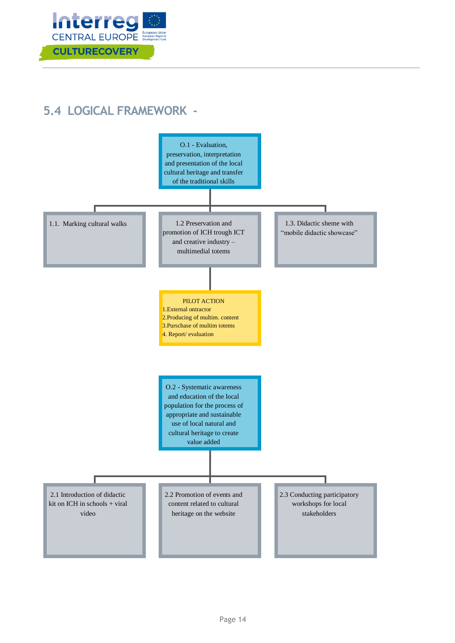

## <span id="page-14-0"></span>**5.4 LOGICAL FRAMEWORK -**

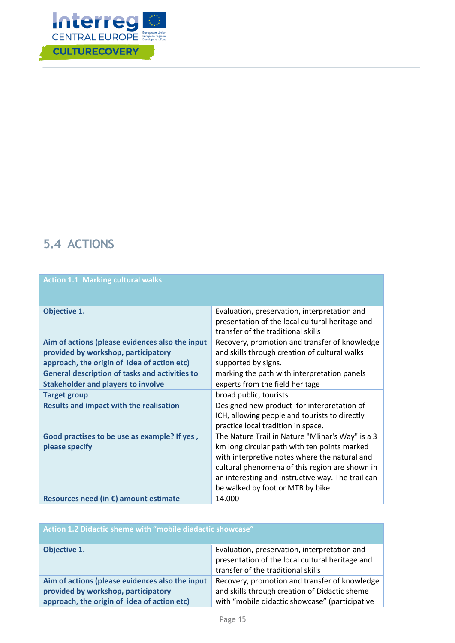

## <span id="page-15-0"></span>**5.4 ACTIONS**

| <b>Action 1.1 Marking cultural walks</b>                                                                                              |                                                                                                                                                                                                                                                                                               |  |  |
|---------------------------------------------------------------------------------------------------------------------------------------|-----------------------------------------------------------------------------------------------------------------------------------------------------------------------------------------------------------------------------------------------------------------------------------------------|--|--|
| <b>Objective 1.</b>                                                                                                                   | Evaluation, preservation, interpretation and<br>presentation of the local cultural heritage and<br>transfer of the traditional skills                                                                                                                                                         |  |  |
| Aim of actions (please evidences also the input<br>provided by workshop, participatory<br>approach, the origin of idea of action etc) | Recovery, promotion and transfer of knowledge<br>and skills through creation of cultural walks<br>supported by signs.                                                                                                                                                                         |  |  |
| <b>General description of tasks and activities to</b>                                                                                 | marking the path with interpretation panels                                                                                                                                                                                                                                                   |  |  |
| <b>Stakeholder and players to involve</b>                                                                                             | experts from the field heritage                                                                                                                                                                                                                                                               |  |  |
| <b>Target group</b>                                                                                                                   | broad public, tourists                                                                                                                                                                                                                                                                        |  |  |
| <b>Results and impact with the realisation</b>                                                                                        | Designed new product for interpretation of<br>ICH, allowing people and tourists to directly<br>practice local tradition in space.                                                                                                                                                             |  |  |
| Good practises to be use as example? If yes,<br>please specify                                                                        | The Nature Trail in Nature "Mlinar's Way" is a 3<br>km long circular path with ten points marked<br>with interpretive notes where the natural and<br>cultural phenomena of this region are shown in<br>an interesting and instructive way. The trail can<br>be walked by foot or MTB by bike. |  |  |
| Resources need (in $\epsilon$ ) amount estimate                                                                                       | 14.000                                                                                                                                                                                                                                                                                        |  |  |

| Action 1.2 Didactic sheme with "mobile diadactic showcase"                                                                            |                                                                                                                                                  |  |  |
|---------------------------------------------------------------------------------------------------------------------------------------|--------------------------------------------------------------------------------------------------------------------------------------------------|--|--|
| Objective 1.                                                                                                                          | Evaluation, preservation, interpretation and<br>presentation of the local cultural heritage and<br>transfer of the traditional skills            |  |  |
| Aim of actions (please evidences also the input<br>provided by workshop, participatory<br>approach, the origin of idea of action etc) | Recovery, promotion and transfer of knowledge<br>and skills through creation of Didactic sheme<br>with "mobile didactic showcase" (participative |  |  |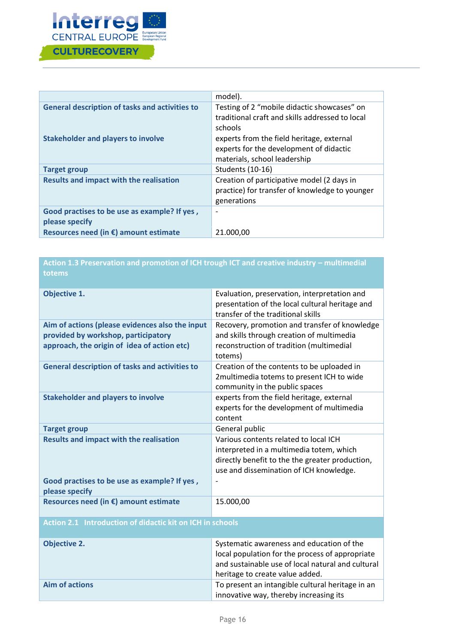

|                                                                | model).                                                                                                              |
|----------------------------------------------------------------|----------------------------------------------------------------------------------------------------------------------|
| <b>General description of tasks and activities to</b>          | Testing of 2 "mobile didactic showcases" on<br>traditional craft and skills addressed to local<br>schools            |
| <b>Stakeholder and players to involve</b>                      | experts from the field heritage, external<br>experts for the development of didactic<br>materials, school leadership |
| <b>Target group</b>                                            | Students (10-16)                                                                                                     |
| <b>Results and impact with the realisation</b>                 | Creation of participative model (2 days in<br>practice) for transfer of knowledge to younger<br>generations          |
| Good practises to be use as example? If yes,<br>please specify | $\overline{\phantom{a}}$                                                                                             |
| Resources need (in $\epsilon$ ) amount estimate                | 21.000,00                                                                                                            |

| Action 1.3 Preservation and promotion of ICH trough ICT and creative industry - multimedial<br>totems                                 |                                                                                                                                                                                      |  |  |
|---------------------------------------------------------------------------------------------------------------------------------------|--------------------------------------------------------------------------------------------------------------------------------------------------------------------------------------|--|--|
| <b>Objective 1.</b>                                                                                                                   | Evaluation, preservation, interpretation and<br>presentation of the local cultural heritage and<br>transfer of the traditional skills                                                |  |  |
| Aim of actions (please evidences also the input<br>provided by workshop, participatory<br>approach, the origin of idea of action etc) | Recovery, promotion and transfer of knowledge<br>and skills through creation of multimedia<br>reconstruction of tradition (multimedial<br>totems)                                    |  |  |
| <b>General description of tasks and activities to</b>                                                                                 | Creation of the contents to be uploaded in<br>2multimedia totems to present ICH to wide<br>community in the public spaces                                                            |  |  |
| <b>Stakeholder and players to involve</b>                                                                                             | experts from the field heritage, external<br>experts for the development of multimedia<br>content                                                                                    |  |  |
| <b>Target group</b>                                                                                                                   | General public                                                                                                                                                                       |  |  |
| <b>Results and impact with the realisation</b>                                                                                        | Various contents related to local ICH<br>interpreted in a multimedia totem, which<br>directly benefit to the the greater production,<br>use and dissemination of ICH knowledge.      |  |  |
| Good practises to be use as example? If yes,<br>please specify                                                                        |                                                                                                                                                                                      |  |  |
| Resources need (in €) amount estimate                                                                                                 | 15.000,00                                                                                                                                                                            |  |  |
| <b>Action 2.1 Introduction of didactic kit on ICH in schools</b>                                                                      |                                                                                                                                                                                      |  |  |
| <b>Objective 2.</b>                                                                                                                   | Systematic awareness and education of the<br>local population for the process of appropriate<br>and sustainable use of local natural and cultural<br>heritage to create value added. |  |  |

innovative way, thereby increasing its

**Aim of actions <b>The Eliast Contract Contract Contract** To present an intangible cultural heritage in an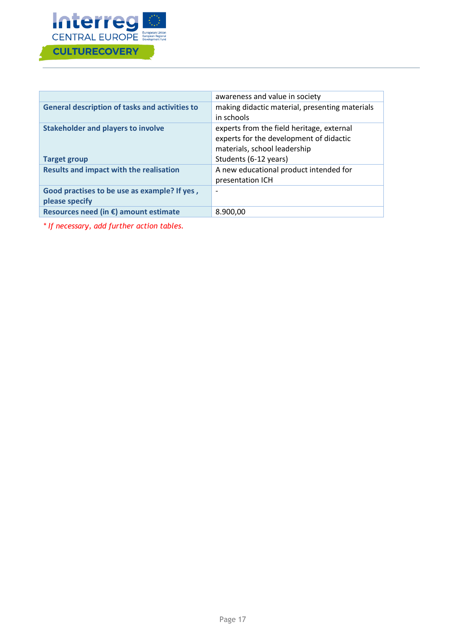

|                                                       | awareness and value in society                 |
|-------------------------------------------------------|------------------------------------------------|
| <b>General description of tasks and activities to</b> | making didactic material, presenting materials |
|                                                       | in schools                                     |
| <b>Stakeholder and players to involve</b>             | experts from the field heritage, external      |
|                                                       | experts for the development of didactic        |
|                                                       | materials, school leadership                   |
| <b>Target group</b>                                   | Students (6-12 years)                          |
| <b>Results and impact with the realisation</b>        | A new educational product intended for         |
|                                                       | presentation ICH                               |
| Good practises to be use as example? If yes,          | $\overline{\phantom{a}}$                       |
| please specify                                        |                                                |
| Resources need (in $\epsilon$ ) amount estimate       | 8.900,00                                       |
|                                                       |                                                |

*\* If necessary, add further action tables.*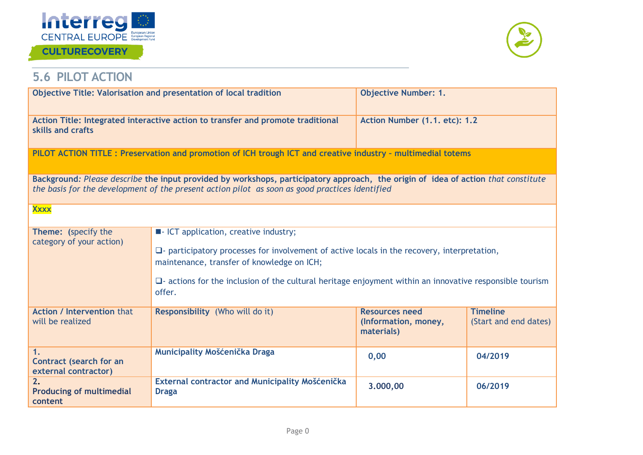

### **CULTURECOVERY**



## **5.6 PILOT ACTION**

<span id="page-18-0"></span>

|                                                                                                                                                                                                                                     | Objective Title: Valorisation and presentation of local tradition                                                                                                                                                                                                                                                           | <b>Objective Number: 1.</b>                                 |                                          |  |
|-------------------------------------------------------------------------------------------------------------------------------------------------------------------------------------------------------------------------------------|-----------------------------------------------------------------------------------------------------------------------------------------------------------------------------------------------------------------------------------------------------------------------------------------------------------------------------|-------------------------------------------------------------|------------------------------------------|--|
| skills and crafts                                                                                                                                                                                                                   | Action Title: Integrated interactive action to transfer and promote traditional                                                                                                                                                                                                                                             | Action Number (1.1. etc): 1.2                               |                                          |  |
|                                                                                                                                                                                                                                     | PILOT ACTION TITLE: Preservation and promotion of ICH trough ICT and creative industry - multimedial totems                                                                                                                                                                                                                 |                                                             |                                          |  |
| Background: Please describe the input provided by workshops, participatory approach, the origin of idea of action that constitute<br>the basis for the development of the present action pilot as soon as good practices identified |                                                                                                                                                                                                                                                                                                                             |                                                             |                                          |  |
| <b>Xxxx</b>                                                                                                                                                                                                                         |                                                                                                                                                                                                                                                                                                                             |                                                             |                                          |  |
| Theme: (specify the<br>category of your action)                                                                                                                                                                                     | <b>E</b> -ICT application, creative industry;<br>$\Box$ - participatory processes for involvement of active locals in the recovery, interpretation,<br>maintenance, transfer of knowledge on ICH;<br>$\Box$ actions for the inclusion of the cultural heritage enjoyment within an innovative responsible tourism<br>offer. |                                                             |                                          |  |
| <b>Action / Intervention that</b><br>will be realized                                                                                                                                                                               | Responsibility (Who will do it)                                                                                                                                                                                                                                                                                             | <b>Resources need</b><br>(Information, money,<br>materials) | <b>Timeline</b><br>(Start and end dates) |  |
| 1.<br><b>Contract (search for an</b><br>external contractor)                                                                                                                                                                        | Municipality Mošćenička Draga                                                                                                                                                                                                                                                                                               | 0,00                                                        | 04/2019                                  |  |
| 2.<br><b>Producing of multimedial</b><br>content                                                                                                                                                                                    | External contractor and Municipality Mošćenička<br><b>Draga</b>                                                                                                                                                                                                                                                             | 3.000,00                                                    | 06/2019                                  |  |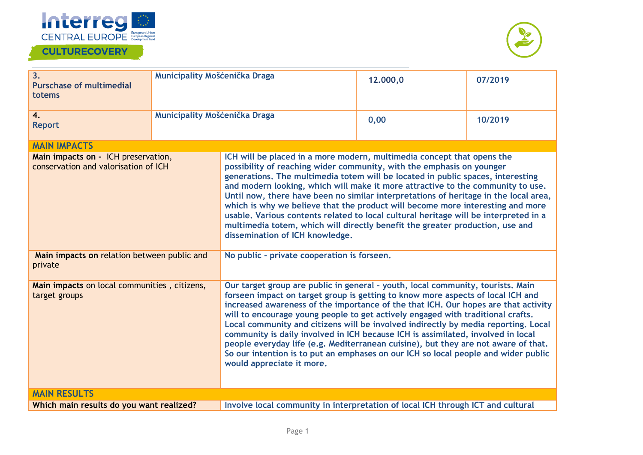

### **CULTURECOVERY**



| 3.<br><b>Purschase of multimedial</b><br>totems                             | Municipality Mošćenička Draga |                                                                                                                                                                                                                                                                                                                                                                                                                                                                                                                                                                                                                                                                                                                                | 12,000,0 | 07/2019 |
|-----------------------------------------------------------------------------|-------------------------------|--------------------------------------------------------------------------------------------------------------------------------------------------------------------------------------------------------------------------------------------------------------------------------------------------------------------------------------------------------------------------------------------------------------------------------------------------------------------------------------------------------------------------------------------------------------------------------------------------------------------------------------------------------------------------------------------------------------------------------|----------|---------|
| 4.<br><b>Report</b>                                                         | Municipality Mošćenička Draga |                                                                                                                                                                                                                                                                                                                                                                                                                                                                                                                                                                                                                                                                                                                                | 0,00     | 10/2019 |
| <b>MAIN IMPACTS</b>                                                         |                               |                                                                                                                                                                                                                                                                                                                                                                                                                                                                                                                                                                                                                                                                                                                                |          |         |
| Main impacts on - ICH preservation,<br>conservation and valorisation of ICH |                               | ICH will be placed in a more modern, multimedia concept that opens the<br>possibility of reaching wider community, with the emphasis on younger<br>generations. The multimedia totem will be located in public spaces, interesting<br>and modern looking, which will make it more attractive to the community to use.<br>Until now, there have been no similar interpretations of heritage in the local area,<br>which is why we believe that the product will become more interesting and more<br>usable. Various contents related to local cultural heritage will be interpreted in a<br>multimedia totem, which will directly benefit the greater production, use and<br>dissemination of ICH knowledge.                    |          |         |
| Main impacts on relation between public and<br>private                      |                               | No public - private cooperation is forseen.                                                                                                                                                                                                                                                                                                                                                                                                                                                                                                                                                                                                                                                                                    |          |         |
| Main impacts on local communities, citizens,<br>target groups               |                               | Our target group are public in general - youth, local community, tourists. Main<br>forseen impact on target group is getting to know more aspects of local ICH and<br>increased awareness of the importance of the that ICH. Our hopes are that activity<br>will to encourage young people to get actively engaged with traditional crafts.<br>Local community and citizens will be involved indirectly by media reporting. Local<br>community is daily involved in ICH because ICH is assimilated, involved in local<br>people everyday life (e.g. Mediterranean cuisine), but they are not aware of that.<br>So our intention is to put an emphases on our ICH so local people and wider public<br>would appreciate it more. |          |         |
| <b>MAIN RESULTS</b>                                                         |                               |                                                                                                                                                                                                                                                                                                                                                                                                                                                                                                                                                                                                                                                                                                                                |          |         |
| Which main results do you want realized?                                    |                               | Involve local community in interpretation of local ICH through ICT and cultural                                                                                                                                                                                                                                                                                                                                                                                                                                                                                                                                                                                                                                                |          |         |